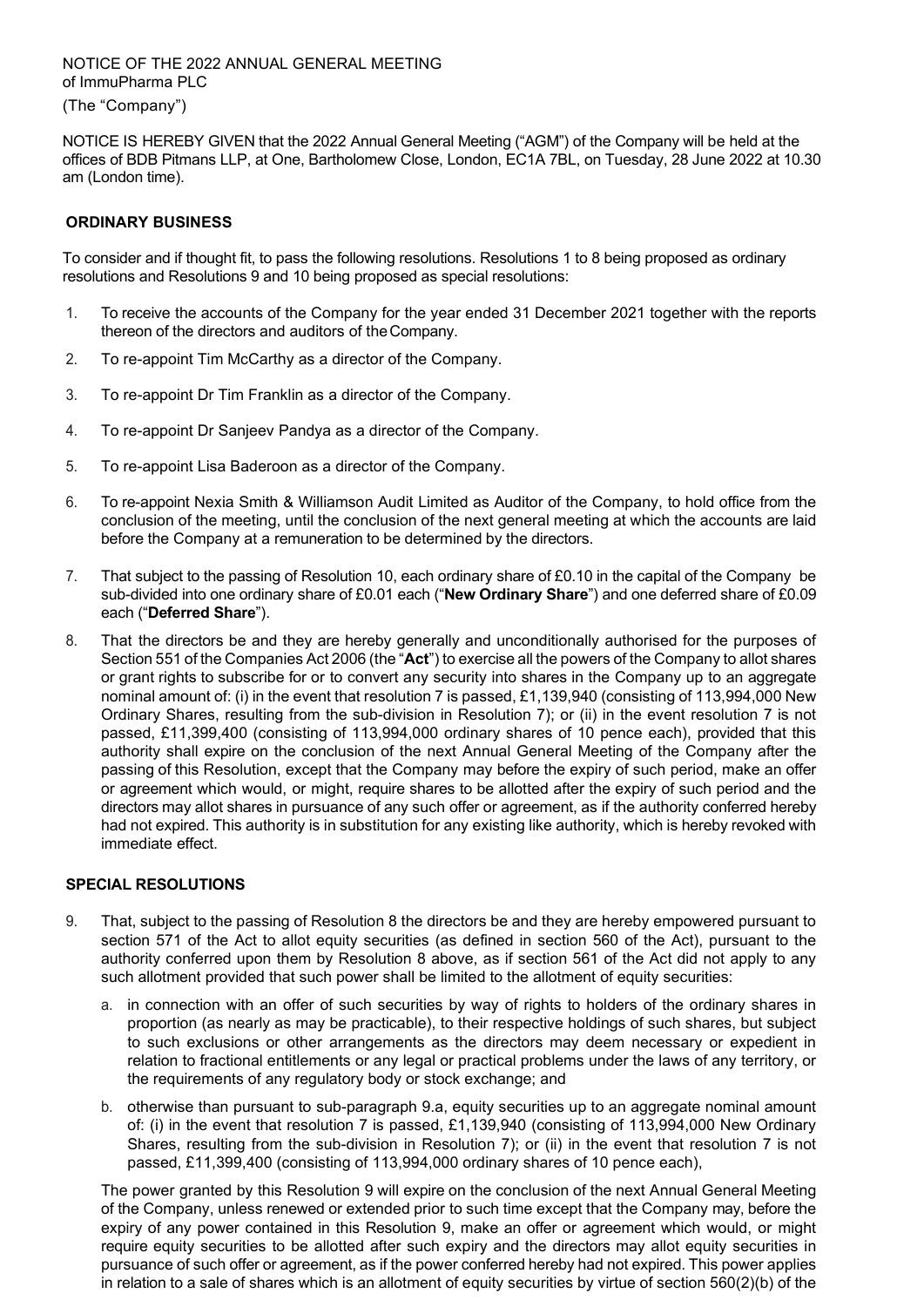# NOTICE OF THE 2022 ANNUAL GENERAL MEETING of ImmuPharma PLC

(The "Company")

NOTICE IS HEREBY GIVEN that the 2022 Annual General Meeting ("AGM") of the Company will be held at the offices of BDB Pitmans LLP, at One, Bartholomew Close, London, EC1A 7BL, on Tuesday, 28 June 2022 at 10.30 am (London time).

# **ORDINARY BUSINESS**

To consider and if thought fit, to pass the following resolutions. Resolution[s 1](#page-0-0) to [8](#page-0-1) being proposed as ordinary resolutions and Resolutions [9](#page-0-2) an[d 10](#page-1-0) being proposed as special resolutions:

- <span id="page-0-0"></span>1. To receive the accounts of the Company for the year ended 31 December 2021 together with the reports thereon of the directors and auditors of theCompany.
- 2. To re-appoint Tim McCarthy as a director of the Company.
- 3. To re-appoint Dr Tim Franklin as a director of the Company.
- 4. To re-appoint Dr Sanjeev Pandya as a director of the Company.
- 5. To re-appoint Lisa Baderoon as a director of the Company.
- 6. To re-appoint Nexia Smith & Williamson Audit Limited as Auditor of the Company, to hold office from the conclusion of the meeting, until the conclusion of the next general meeting at which the accounts are laid before the Company at a remuneration to be determined by the directors.
- <span id="page-0-3"></span>7. That subject to the passing of Resolutio[n 10,](#page-1-0) each ordinary share of £0.10 in the capital of the Company be sub-divided into one ordinary share of £0.01 each ("**New Ordinary Share**") and one deferred share of £0.09 each ("**Deferred Share**").
- <span id="page-0-1"></span>8. That the directors be and they are hereby generally and unconditionally authorised for the purposes of Section 551 of the Companies Act 2006 (the "**Act**") to exercise all the powers of the Company to allot shares or grant rights to subscribe for or to convert any security into shares in the Company up to an aggregate nominal amount of: (i) in the event that resolution 7 is passed, £1,139,940 (consisting of 113,994,000 New Ordinary Shares, resulting from the sub-division in Resolution [7\)](#page-0-3); or (ii) in the event resolution 7 is not passed, £11,399,400 (consisting of 113,994,000 ordinary shares of 10 pence each), provided that this authority shall expire on the conclusion of the next Annual General Meeting of the Company after the passing of this Resolution, except that the Company may before the expiry of such period, make an offer or agreement which would, or might, require shares to be allotted after the expiry of such period and the directors may allot shares in pursuance of any such offer or agreement, as if the authority conferred hereby had not expired. This authority is in substitution for any existing like authority, which is hereby revoked with immediate effect.

### **SPECIAL RESOLUTIONS**

- <span id="page-0-2"></span>9. That, subject to the passing of Resolution [8](#page-0-1) the directors be and they are hereby empowered pursuant to section 571 of the Act to allot equity securities (as defined in section 560 of the Act), pursuant to the authority conferred upon them by Resolution 8 above, as if section 561 of the Act did not apply to any such allotment provided that such power shall be limited to the allotment of equity securities:
	- a. in connection with an offer of such securities by way of rights to holders of the ordinary shares in proportion (as nearly as may be practicable), to their respective holdings of such shares, but subject to such exclusions or other arrangements as the directors may deem necessary or expedient in relation to fractional entitlements or any legal or practical problems under the laws of any territory, or the requirements of any regulatory body or stock exchange; and
	- b. otherwise than pursuant to sub-paragraph 9.a, equity securities up to an aggregate nominal amount of: (i) in the event that resolution 7 is passed, £1,139,940 (consisting of 113,994,000 New Ordinary Shares, resulting from the sub-division in Resolution [7\)](#page-0-3); or (ii) in the event that resolution 7 is not passed, £11,399,400 (consisting of 113,994,000 ordinary shares of 10 pence each),

The power granted by this Resolution 9 will expire on the conclusion of the next Annual General Meeting of the Company, unless renewed or extended prior to such time except that the Company may, before the expiry of any power contained in this Resolution 9, make an offer or agreement which would, or might require equity securities to be allotted after such expiry and the directors may allot equity securities in pursuance of such offer or agreement, as if the power conferred hereby had not expired. This power applies in relation to a sale of shares which is an allotment of equity securities by virtue of section 560(2)(b) of the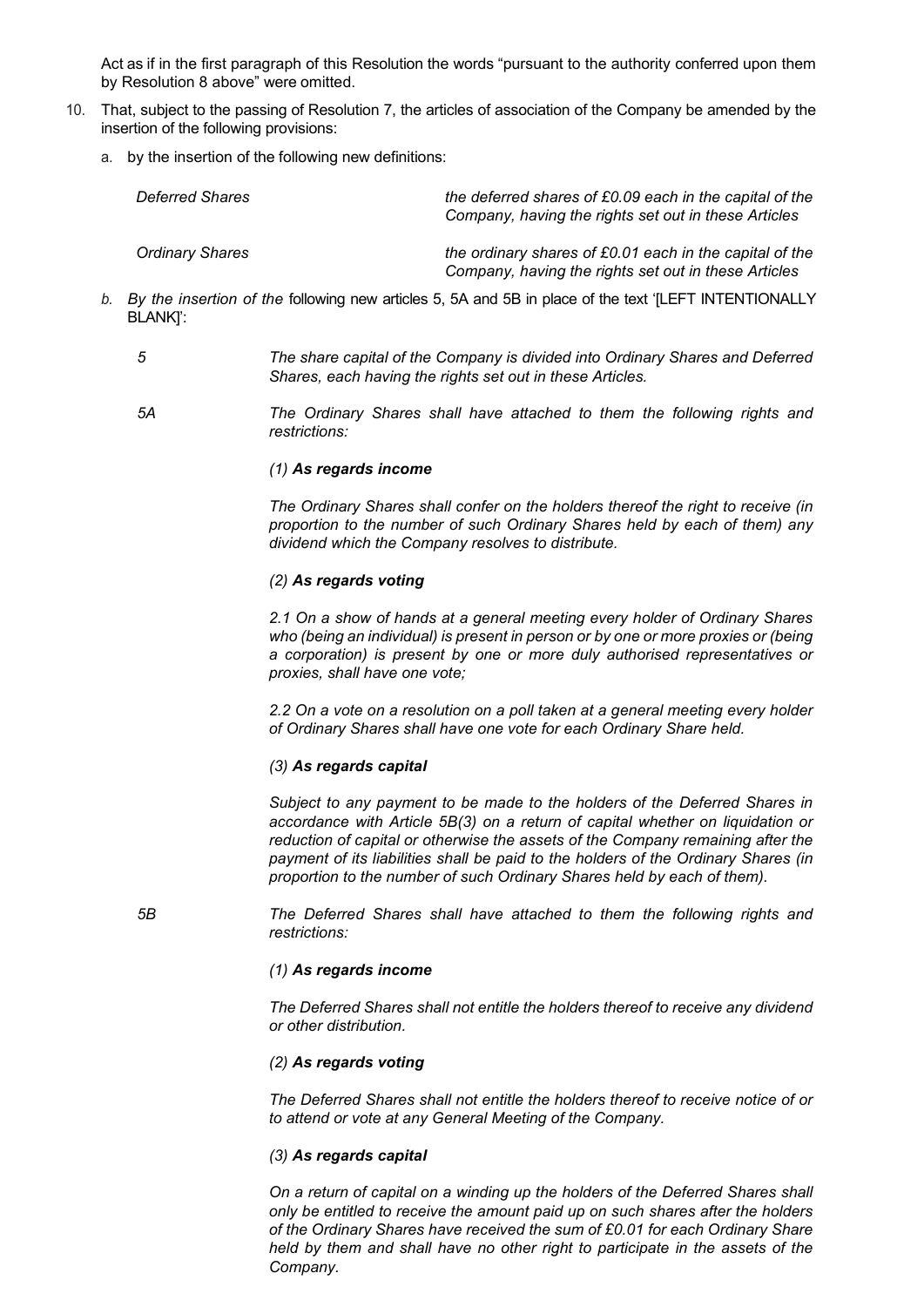Act as if in the first paragraph of this Resolution the words "pursuant to the authority conferred upon them by Resolution [8](#page-0-1) above" were omitted.

- <span id="page-1-0"></span>10. That, subject to the passing of Resolution [7,](#page-0-3) the articles of association of the Company be amended by the insertion of the following provisions:
	- a. by the insertion of the following new definitions:

| Deferred Shares        | the deferred shares of £0.09 each in the capital of the<br>Company, having the rights set out in these Articles |
|------------------------|-----------------------------------------------------------------------------------------------------------------|
| <b>Ordinary Shares</b> | the ordinary shares of £0.01 each in the capital of the<br>Company, having the rights set out in these Articles |

- *b. By the insertion of the* following new articles 5, 5A and 5B in place of the text '[LEFT INTENTIONALLY BLANK]':
	-

*5 The share capital of the Company is divided into Ordinary Shares and Deferred Shares, each having the rights set out in these Articles.*

*5A The Ordinary Shares shall have attached to them the following rights and restrictions:*

#### *(1) As regards income*

*The Ordinary Shares shall confer on the holders thereof the right to receive (in proportion to the number of such Ordinary Shares held by each of them) any dividend which the Company resolves to distribute.*

#### *(2) As regards voting*

*2.1 On a show of hands at a general meeting every holder of Ordinary Shares who (being an individual) is present in person or by one or more proxies or (being a corporation) is present by one or more duly authorised representatives or proxies, shall have one vote;* 

*2.2 On a vote on a resolution on a poll taken at a general meeting every holder of Ordinary Shares shall have one vote for each Ordinary Share held.*

#### *(3) As regards capital*

*Subject to any payment to be made to the holders of the Deferred Shares in accordance with Article 5B(3) on a return of capital whether on liquidation or reduction of capital or otherwise the assets of the Company remaining after the payment of its liabilities shall be paid to the holders of the Ordinary Shares (in proportion to the number of such Ordinary Shares held by each of them).*

*5B The Deferred Shares shall have attached to them the following rights and restrictions:*

#### *(1) As regards income*

*The Deferred Shares shall not entitle the holders thereof to receive any dividend or other distribution.*

### *(2) As regards voting*

*The Deferred Shares shall not entitle the holders thereof to receive notice of or to attend or vote at any General Meeting of the Company.*

#### *(3) As regards capital*

*On a return of capital on a winding up the holders of the Deferred Shares shall only be entitled to receive the amount paid up on such shares after the holders of the Ordinary Shares have received the sum of £0.01 for each Ordinary Share held by them and shall have no other right to participate in the assets of the Company.*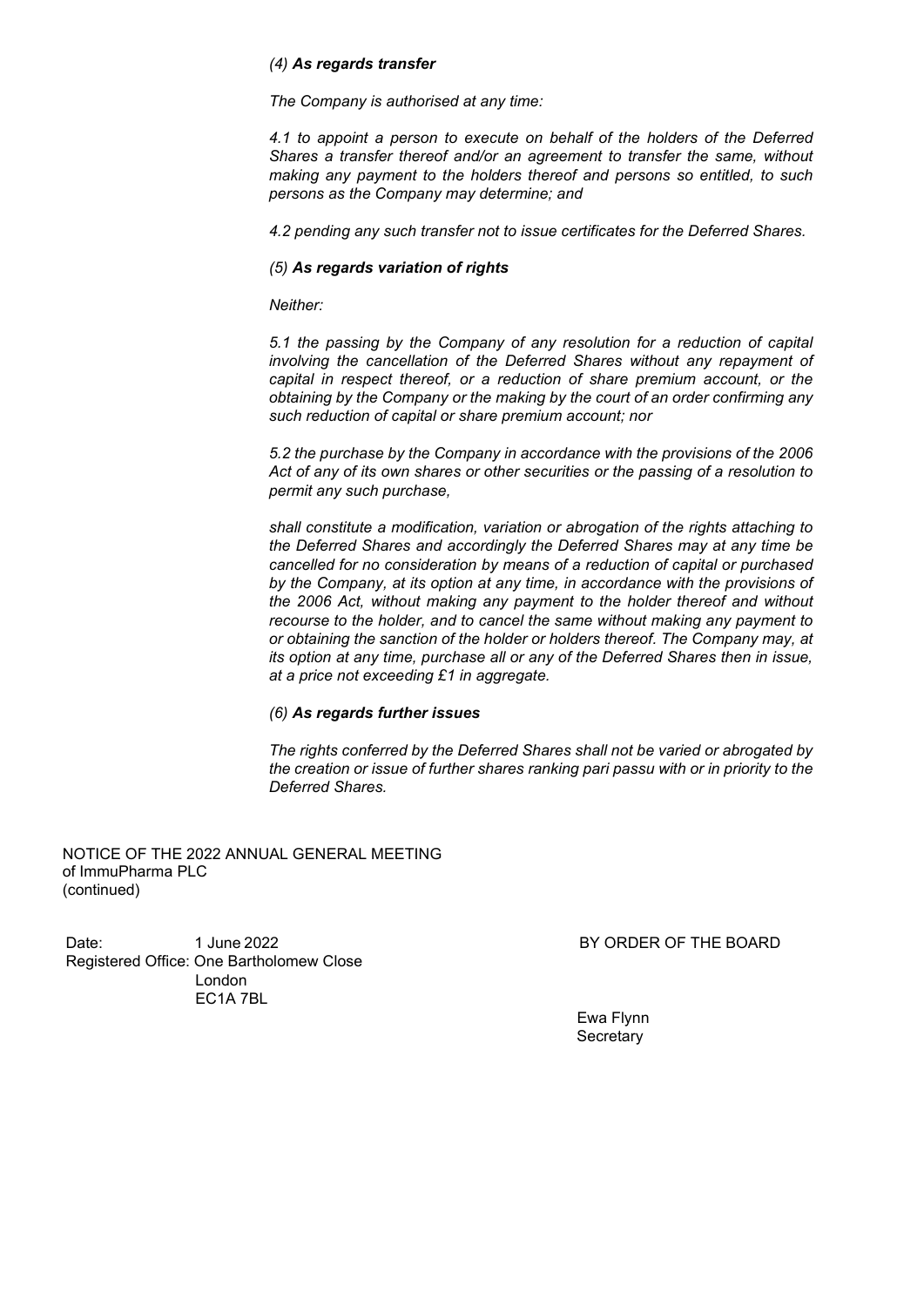### *(4) As regards transfer*

*The Company is authorised at any time:*

*4.1 to appoint a person to execute on behalf of the holders of the Deferred Shares a transfer thereof and/or an agreement to transfer the same, without making any payment to the holders thereof and persons so entitled, to such persons as the Company may determine; and*

*4.2 pending any such transfer not to issue certificates for the Deferred Shares.*

#### *(5) As regards variation of rights*

*Neither:*

*5.1 the passing by the Company of any resolution for a reduction of capital involving the cancellation of the Deferred Shares without any repayment of capital in respect thereof, or a reduction of share premium account, or the obtaining by the Company or the making by the court of an order confirming any such reduction of capital or share premium account; nor*

*5.2 the purchase by the Company in accordance with the provisions of the 2006 Act of any of its own shares or other securities or the passing of a resolution to permit any such purchase,*

*shall constitute a modification, variation or abrogation of the rights attaching to the Deferred Shares and accordingly the Deferred Shares may at any time be cancelled for no consideration by means of a reduction of capital or purchased by the Company, at its option at any time, in accordance with the provisions of the 2006 Act, without making any payment to the holder thereof and without recourse to the holder, and to cancel the same without making any payment to or obtaining the sanction of the holder or holders thereof. The Company may, at its option at any time, purchase all or any of the Deferred Shares then in issue, at a price not exceeding £1 in aggregate.*

### *(6) As regards further issues*

*The rights conferred by the Deferred Shares shall not be varied or abrogated by the creation or issue of further shares ranking pari passu with or in priority to the Deferred Shares.*

NOTICE OF THE 2022 ANNUAL GENERAL MEETING of ImmuPharma PLC (continued)

Date: 1 June 2022 **BY ORDER OF THE BOARD** Registered Office: One Bartholomew Close London EC1A 7BL

Ewa Flynn **Secretary**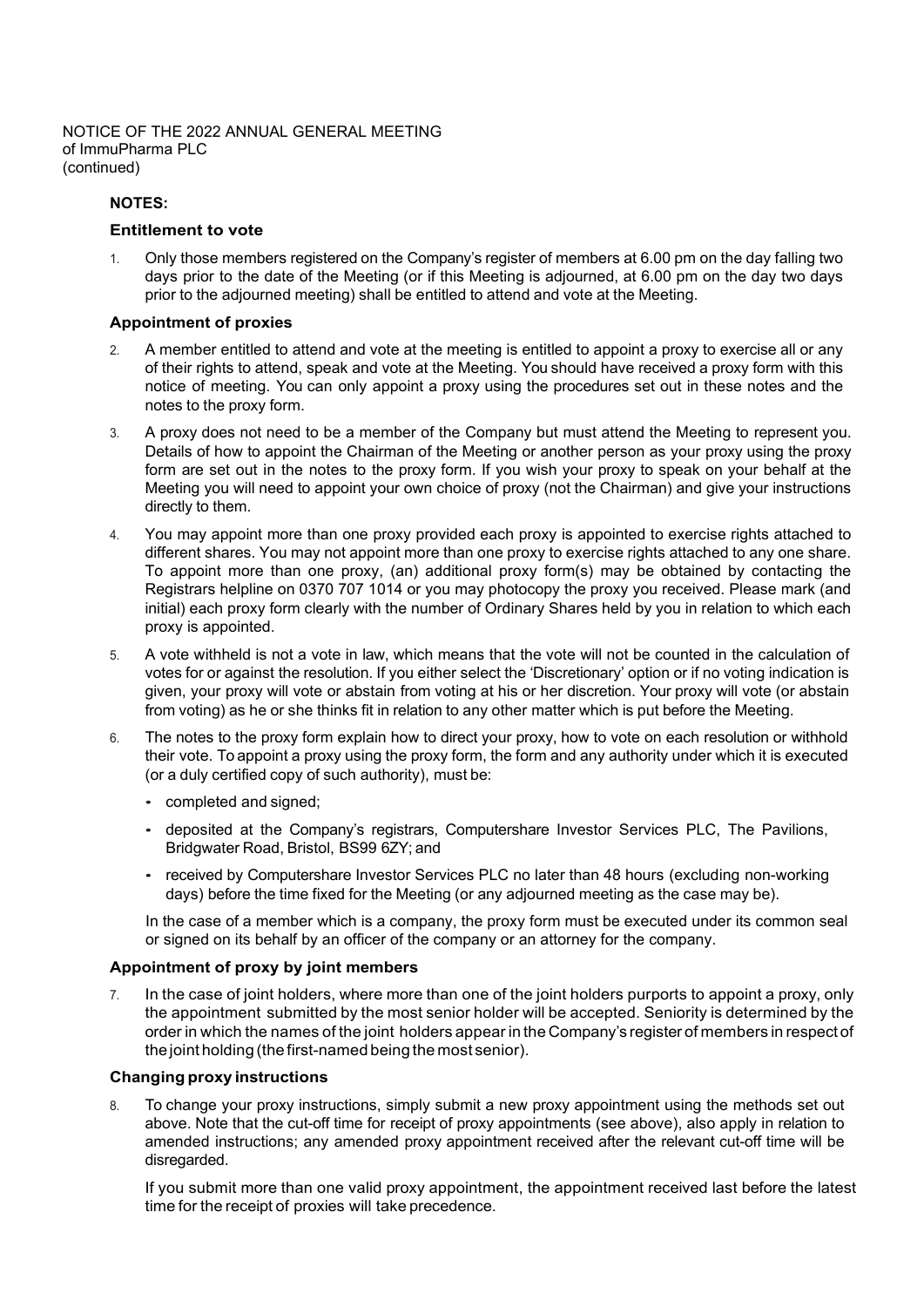NOTICE OF THE 2022 ANNUAL GENERAL MEETING of ImmuPharma PLC (continued)

### **NOTES:**

#### **Entitlement to vote**

1. Only those members registered on the Company's register of members at 6.00 pm on the day falling two days prior to the date of the Meeting (or if this Meeting is adjourned, at 6.00 pm on the day two days prior to the adjourned meeting) shall be entitled to attend and vote at the Meeting.

#### **Appointment of proxies**

- 2. A member entitled to attend and vote at the meeting is entitled to appoint a proxy to exercise all or any of their rights to attend, speak and vote at the Meeting. You should have received a proxy form with this notice of meeting. You can only appoint a proxy using the procedures set out in these notes and the notes to the proxy form.
- 3. A proxy does not need to be a member of the Company but must attend the Meeting to represent you. Details of how to appoint the Chairman of the Meeting or another person as your proxy using the proxy form are set out in the notes to the proxy form. If you wish your proxy to speak on your behalf at the Meeting you will need to appoint your own choice of proxy (not the Chairman) and give your instructions directly to them.
- 4. You may appoint more than one proxy provided each proxy is appointed to exercise rights attached to different shares. You may not appoint more than one proxy to exercise rights attached to any one share. To appoint more than one proxy, (an) additional proxy form(s) may be obtained by contacting the Registrars helpline on 0370 707 1014 or you may photocopy the proxy you received. Please mark (and initial) each proxy form clearly with the number of Ordinary Shares held by you in relation to which each proxy is appointed.
- 5. A vote withheld is not a vote in law, which means that the vote will not be counted in the calculation of votes for or against the resolution. If you either select the 'Discretionary' option or if no voting indication is given, your proxy will vote or abstain from voting at his or her discretion. Your proxy will vote (or abstain from voting) as he or she thinks fit in relation to any other matter which is put before the Meeting.
- 6. The notes to the proxy form explain how to direct your proxy, how to vote on each resolution or withhold their vote. To appoint a proxy using the proxy form, the form and any authority under which it is executed (or a duly certified copy of such authority), must be:
	- completed and signed;
	- deposited at the Company's registrars, Computershare Investor Services PLC, The Pavilions, Bridgwater Road, Bristol, BS99 6ZY; and
	- received by Computershare Investor Services PLC no later than 48 hours (excluding non-working days) before the time fixed for the Meeting (or any adjourned meeting as the case may be).

In the case of a member which is a company, the proxy form must be executed under its common seal or signed on its behalf by an officer of the company or an attorney for the company.

### **Appointment of proxy by joint members**

7. In the case of joint holders, where more than one of the joint holders purports to appoint a proxy, only the appointment submitted by the most senior holder will be accepted. Seniority is determined by the order in which the names of the joint holders appear in the Company's register of members in respect of the joint holding (the first-named being the most senior).

# **Changing proxy instructions**

8. To change your proxy instructions, simply submit a new proxy appointment using the methods set out above. Note that the cut-off time for receipt of proxy appointments (see above), also apply in relation to amended instructions; any amended proxy appointment received after the relevant cut-off time will be disregarded.

If you submit more than one valid proxy appointment, the appointment received last before the latest time for the receipt of proxies will take precedence.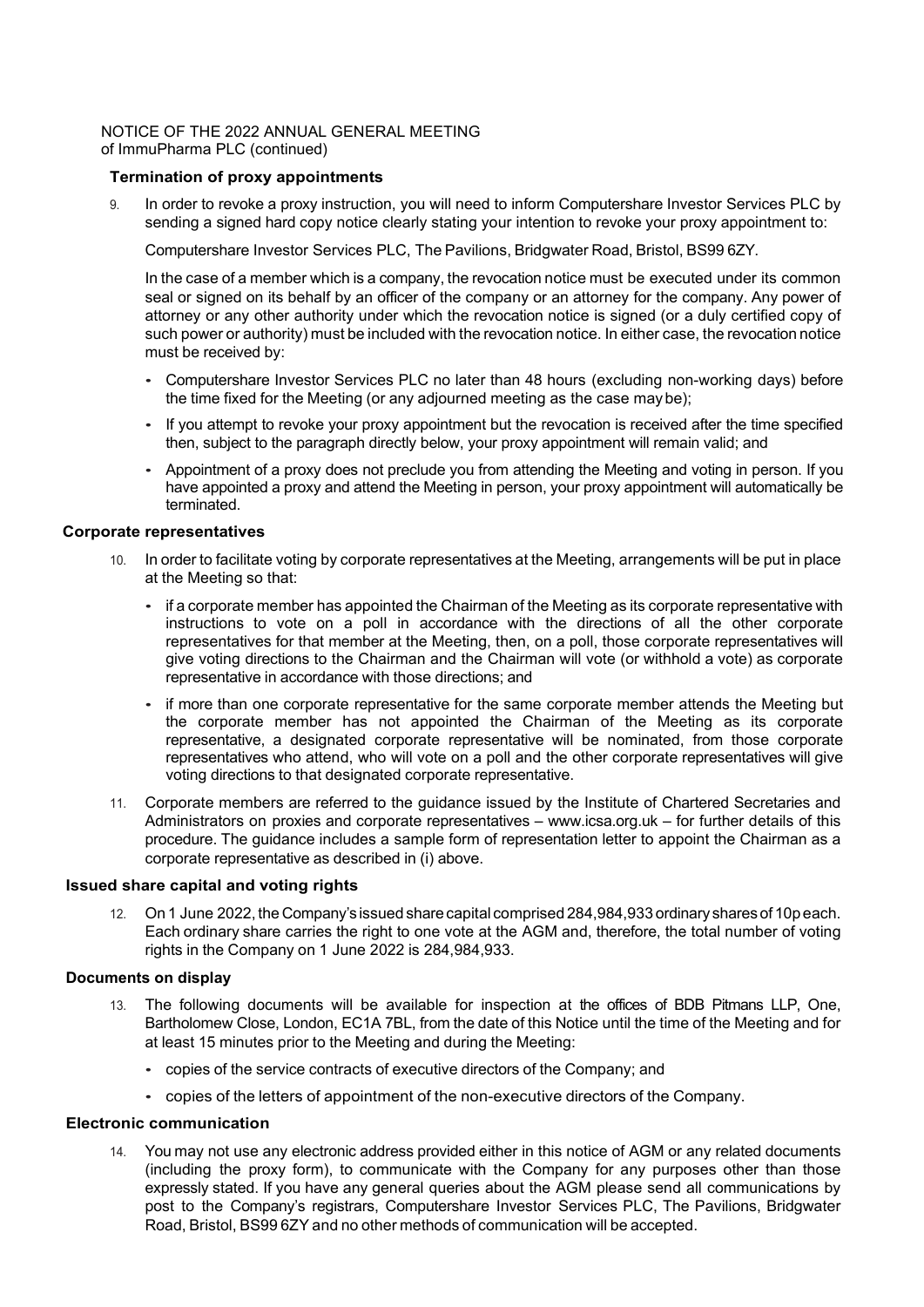### NOTICE OF THE 2022 ANNUAL GENERAL MEETING of ImmuPharma PLC (continued)

### **Termination of proxy appointments**

9. In order to revoke a proxy instruction, you will need to inform Computershare Investor Services PLC by sending a signed hard copy notice clearly stating your intention to revoke your proxy appointment to:

Computershare Investor Services PLC, The Pavilions, Bridgwater Road, Bristol, BS99 6ZY.

In the case of a member which is a company, the revocation notice must be executed under its common seal or signed on its behalf by an officer of the company or an attorney for the company. Any power of attorney or any other authority under which the revocation notice is signed (or a duly certified copy of such power or authority) must be included with the revocation notice. In either case, the revocation notice must be received by:

- Computershare Investor Services PLC no later than 48 hours (excluding non-working days) before the time fixed for the Meeting (or any adjourned meeting as the case maybe);
- If you attempt to revoke your proxy appointment but the revocation is received after the time specified then, subject to the paragraph directly below, your proxy appointment will remain valid; and
- Appointment of a proxy does not preclude you from attending the Meeting and voting in person. If you have appointed a proxy and attend the Meeting in person, your proxy appointment will automatically be terminated.

### **Corporate representatives**

- 10. In order to facilitate voting by corporate representatives at the Meeting, arrangements will be put in place at the Meeting so that:
	- if a corporate member has appointed the Chairman of the Meeting as its corporate representative with instructions to vote on a poll in accordance with the directions of all the other corporate representatives for that member at the Meeting, then, on a poll, those corporate representatives will give voting directions to the Chairman and the Chairman will vote (or withhold a vote) as corporate representative in accordance with those directions; and
	- if more than one corporate representative for the same corporate member attends the Meeting but the corporate member has not appointed the Chairman of the Meeting as its corporate representative, a designated corporate representative will be nominated, from those corporate representatives who attend, who will vote on a poll and the other corporate representatives will give voting directions to that designated corporate representative.
- 11. Corporate members are referred to the guidance issued by the Institute of Chartered Secretaries and Administrators on proxies and corporate representatives – www.icsa.org.uk – for further details of this procedure. The guidance includes a sample form of representation letter to appoint the Chairman as a corporate representative as described in (i) above.

### **Issued share capital and voting rights**

12. On 1 June 2022, the Company's issued sharecapital comprised 284,984,933 ordinary shares of 10p each. Each ordinary share carries the right to one vote at the AGM and, therefore, the total number of voting rights in the Company on 1 June 2022 is 284,984,933.

# **Documents on display**

- 13. The following documents will be available for inspection at the offices of BDB Pitmans LLP, One, Bartholomew Close, London, EC1A 7BL, from the date of this Notice until the time of the Meeting and for at least 15 minutes prior to the Meeting and during the Meeting:
	- copies of the service contracts of executive directors of the Company; and
	- copies of the letters of appointment of the non-executive directors of the Company.

# **Electronic communication**

14. You may not use any electronic address provided either in this notice of AGM or any related documents (including the proxy form), to communicate with the Company for any purposes other than those expressly stated. If you have any general queries about the AGM please send all communications by post to the Company's registrars, Computershare Investor Services PLC, The Pavilions, Bridgwater Road, Bristol, BS99 6ZY and no other methods of communication will be accepted.